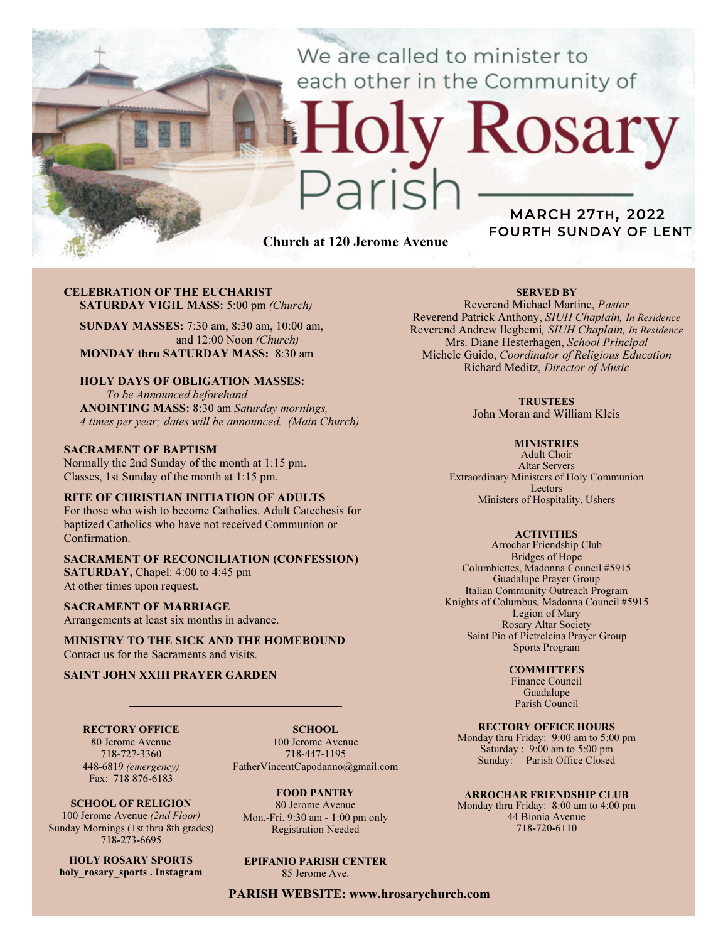We are called to minister to each other in the Community of

# Church at 120 Jerome Avenue

 $2710$ 

# MARCH 27TH, 2022 FOURTH SUNDAY OF LENT

Rosary

#### CELEBRATION OF THE EUCHARIST SATURDAY VIGIL MASS: 5:00 pm (Church)

SUNDAY MASSES: 7:30 am, 8:30 am, 10:00 am, and 12:00 Noon (Church) MONDAY thru SATURDAY MASS: 8:30 am

#### HOLY DAYS OF OBLIGATION MASSES:

To be Announced beforehand ANOINTING MASS: 8:30 am Saturday mornings, 4 times per year; dates will be announced. (Main Church)

#### SACRAMENT OF BAPTISM

Normally the 2nd Sunday of the month at 1:15 pm. Classes, 1st Sunday of the month at 1:15 pm.

#### RITE OF CHRISTIAN INITIATION OF ADULTS

For those who wish to become Catholics. Adult Catechesis for baptized Catholics who have not received Communion or Confirmation.

#### SACRAMENT OF RECONCILIATION (CONFESSION) SATURDAY, Chapel: 4:00 to 4:45 pm At other times upon request.

SACRAMENT OF MARRIAGE Arrangements at least six months in advance.

MINISTRY TO THE SICK AND THE HOMEBOUND Contact us for the Sacraments and visits.

#### SAINT JOHN XXIII PRAYER GARDEN

RECTORY OFFICE 80 Jerome Avenue

718-727-3360 448-6819 (emergency) Fax: 718 876-6183

SCHOOL. 100 Jerome Avenue 718-447-1195 FatherVincentCapodanno@gmail.com

FOOD PANTRY 80 Jerome Avenue Mon.-Fri. 9:30 am - 1:00 pm only Registration Needed

# EPIFANIO PARISH CENTER

85 Jerome Ave.

#### PARISH WEBSITE: www.hrosarychurch.com

SERVED BY

Reverend Michael Martine, Pastor Reverend Patrick Anthony, SIUH Chaplain, In Residence Reverend Andrew Ilegbemi, SIUH Chaplain, In Residence Mrs. Diane Hesterhagen, School Principal Michele Guido, Coordinator of Religious Education Richard Meditz, Director of Music

**TRUSTEES** 

John Moran and William Kleis

#### **MINISTRIES**

Adult Choir Altar Servers Extraordinary Ministers of Holy Communion Lectors Ministers of Hospitality, Ushers

#### **ACTIVITIES**

Arrochar Friendship Club Bridges of Hope Columbiettes, Madonna Council #5915 Guadalupe Prayer Group Italian Community Outreach Program Knights of Columbus, Madonna Council #5915 Legion of Mary Rosary Altar Society Saint Pio of Pietrelcina Prayer Group Sports Program

#### **COMMITTEES**

Finance Council Guadalupe Parish Council

RECTORY OFFICE HOURS

Monday thru Friday: 9:00 am to 5:00 pm Saturday : 9:00 am to 5:00 pm Sunday: Parish Office Closed

#### ARROCHAR FRIENDSHIP CLUB

Monday thru Friday: 8:00 am to 4:00 pm 44 Bionia Avenue 718-720-6110

SCHOOL OF RELIGION 100 Jerome Avenue (2nd Floor) Sunday Mornings (1st thru 8th grades) 718-273-6695

HOLY ROSARY SPORTS holy rosary sports . Instagram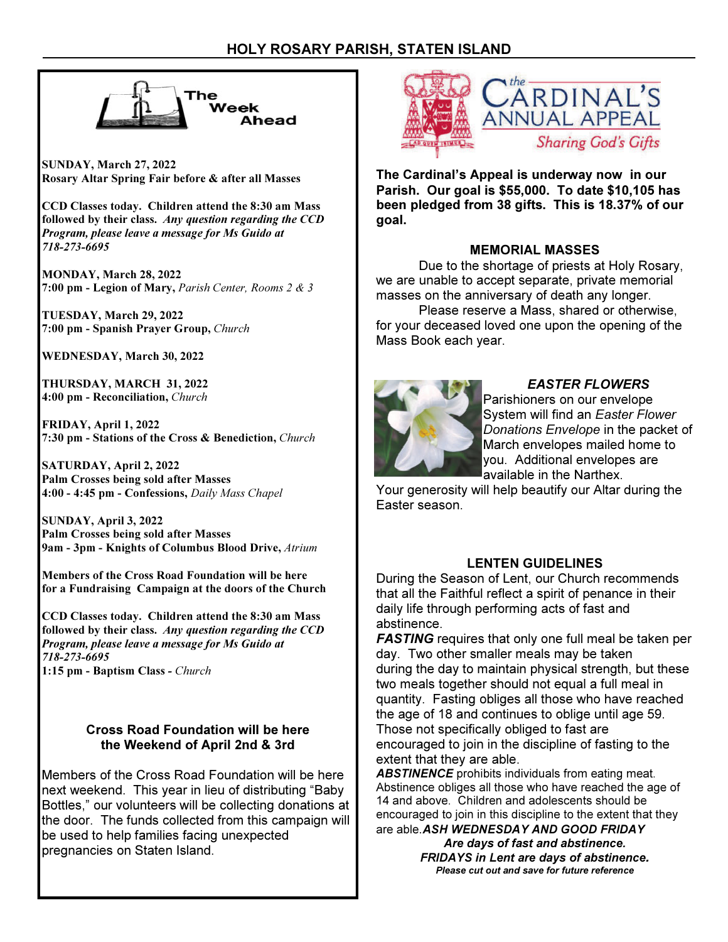

SUNDAY, March 27, 2022 Rosary Altar Spring Fair before & after all Masses

CCD Classes today. Children attend the 8:30 am Mass followed by their class. Any question regarding the CCD Program, please leave a message for Ms Guido at 718-273-6695

MONDAY, March 28, 2022 7:00 pm - Legion of Mary, Parish Center, Rooms 2 & 3

TUESDAY, March 29, 2022 7:00 pm - Spanish Prayer Group, Church

WEDNESDAY, March 30, 2022

THURSDAY, MARCH 31, 2022 4:00 pm - Reconciliation, Church

FRIDAY, April 1, 2022 7:30 pm - Stations of the Cross & Benediction, Church

SATURDAY, April 2, 2022 Palm Crosses being sold after Masses 4:00 - 4:45 pm - Confessions, Daily Mass Chapel

SUNDAY, April 3, 2022 Palm Crosses being sold after Masses 9am - 3pm - Knights of Columbus Blood Drive, Atrium

Members of the Cross Road Foundation will be here for a Fundraising Campaign at the doors of the Church

CCD Classes today. Children attend the 8:30 am Mass followed by their class. Any question regarding the CCD Program, please leave a message for Ms Guido at 718-273-6695 1:15 pm - Baptism Class - Church

# Cross Road Foundation will be here the Weekend of April 2nd & 3rd

Members of the Cross Road Foundation will be here next weekend. This year in lieu of distributing "Baby Bottles," our volunteers will be collecting donations at the door. The funds collected from this campaign will be used to help families facing unexpected pregnancies on Staten Island.



The Cardinal's Appeal is underway now in our Parish. Our goal is \$55,000. To date \$10,105 has been pledged from 38 gifts. This is 18.37% of our goal.

# MEMORIAL MASSES

 Due to the shortage of priests at Holy Rosary, we are unable to accept separate, private memorial masses on the anniversary of death any longer.

 Please reserve a Mass, shared or otherwise, for your deceased loved one upon the opening of the Mass Book each year.



# EASTER FLOWERS

Parishioners on our envelope System will find an Easter Flower Donations Envelope in the packet of March envelopes mailed home to you. Additional envelopes are available in the Narthex.

Your generosity will help beautify our Altar during the Easter season.

# LENTEN GUIDELINES

During the Season of Lent, our Church recommends that all the Faithful reflect a spirit of penance in their daily life through performing acts of fast and abstinence.

**FASTING** requires that only one full meal be taken per day. Two other smaller meals may be taken during the day to maintain physical strength, but these two meals together should not equal a full meal in quantity. Fasting obliges all those who have reached the age of 18 and continues to oblige until age 59. Those not specifically obliged to fast are encouraged to join in the discipline of fasting to the extent that they are able.

**ABSTINENCE** prohibits individuals from eating meat. Abstinence obliges all those who have reached the age of 14 and above. Children and adolescents should be encouraged to join in this discipline to the extent that they are able. ASH WEDNESDAY AND GOOD FRIDAY

> Are days of fast and abstinence. FRIDAYS in Lent are days of abstinence. Please cut out and save for future reference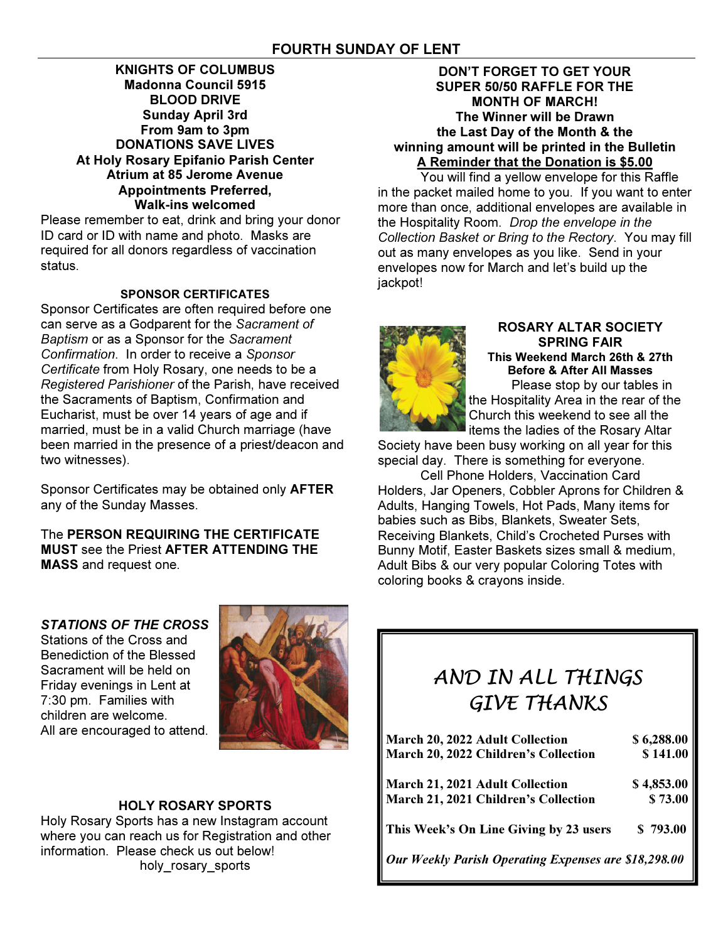### KNIGHTS OF COLUMBUS Madonna Council 5915 BLOOD DRIVE Sunday April 3rd From 9am to 3pm DONATIONS SAVE LIVES At Holy Rosary Epifanio Parish Center Atrium at 85 Jerome Avenue Appointments Preferred, Walk-ins welcomed

Please remember to eat, drink and bring your donor ID card or ID with name and photo. Masks are required for all donors regardless of vaccination status.

## SPONSOR CERTIFICATES

Sponsor Certificates are often required before one can serve as a Godparent for the Sacrament of Baptism or as a Sponsor for the Sacrament Confirmation. In order to receive a Sponsor Certificate from Holy Rosary, one needs to be a Registered Parishioner of the Parish, have received the Sacraments of Baptism, Confirmation and Eucharist, must be over 14 years of age and if married, must be in a valid Church marriage (have been married in the presence of a priest/deacon and two witnesses).

Sponsor Certificates may be obtained only AFTER any of the Sunday Masses.

The PERSON REQUIRING THE CERTIFICATE MUST see the Priest AFTER ATTENDING THE MASS and request one.

## DON'T FORGET TO GET YOUR SUPER 50/50 RAFFLE FOR THE MONTH OF MARCH! The Winner will be Drawn the Last Day of the Month & the winning amount will be printed in the Bulletin A Reminder that the Donation is \$5.00

 You will find a yellow envelope for this Raffle in the packet mailed home to you. If you want to enter more than once, additional envelopes are available in the Hospitality Room. Drop the envelope in the Collection Basket or Bring to the Rectory. You may fill out as many envelopes as you like. Send in your envelopes now for March and let's build up the jackpot!



#### ROSARY ALTAR SOCIETY SPRING FAIR This Weekend March 26th & 27th Before & After All Masses Please stop by our tables in

the Hospitality Area in the rear of the Church this weekend to see all the items the ladies of the Rosary Altar

Society have been busy working on all year for this special day. There is something for everyone.

 Cell Phone Holders, Vaccination Card Holders, Jar Openers, Cobbler Aprons for Children & Adults, Hanging Towels, Hot Pads, Many items for babies such as Bibs, Blankets, Sweater Sets, Receiving Blankets, Child's Crocheted Purses with Bunny Motif, Easter Baskets sizes small & medium, Adult Bibs & our very popular Coloring Totes with coloring books & crayons inside.

# STATIONS OF THE CROSS

Stations of the Cross and Benediction of the Blessed Sacrament will be held on Friday evenings in Lent at 7:30 pm. Families with children are welcome. All are encouraged to attend.



# HOLY ROSARY SPORTS

Holy Rosary Sports has a new Instagram account where you can reach us for Registration and other information. Please check us out below! holy rosary sports

# AND IN ALL THINGS GIVE THANKS

| March 20, 2022 Adult Collection                      | \$6,288.00 |
|------------------------------------------------------|------------|
| March 20, 2022 Children's Collection                 | \$141.00   |
| March 21, 2021 Adult Collection                      | \$4,853.00 |
| March 21, 2021 Children's Collection                 | \$73.00    |
| This Week's On Line Giving by 23 users               | \$793.00   |
| Our Weekly Parish Operating Expenses are \$18,298.00 |            |